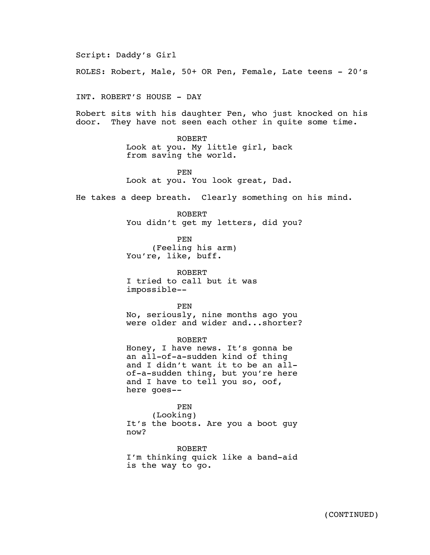Script: Daddy's Girl ROLES: Robert, Male, 50+ OR Pen, Female, Late teens - 20's INT. ROBERT'S HOUSE - DAY Robert sits with his daughter Pen, who just knocked on his door. They have not seen each other in quite some time. ROBERT Look at you. My little girl, back from saving the world. PEN Look at you. You look great, Dad. He takes a deep breath. Clearly something on his mind. ROBERT You didn't get my letters, did you? PEN (Feeling his arm) You're, like, buff. ROBERT I tried to call but it was impossible-- PEN No, seriously, nine months ago you were older and wider and...shorter? ROBERT Honey, I have news. It's gonna be an all-of-a-sudden kind of thing and I didn't want it to be an allof-a-sudden thing, but you're here and I have to tell you so, oof, here goes-- PEN

(Looking) It's the boots. Are you a boot guy now?

ROBERT I'm thinking quick like a band-aid is the way to go.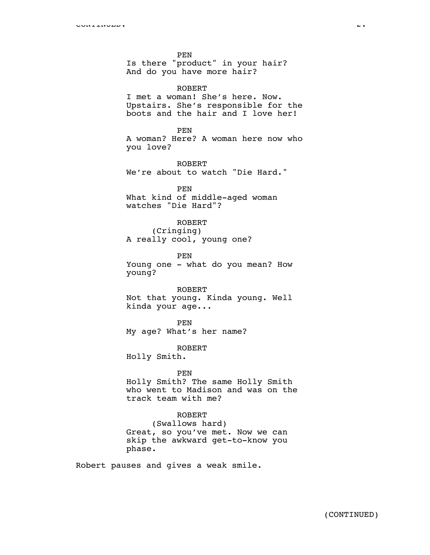PEN

Is there "product" in your hair? And do you have more hair?

ROBERT

I met a woman! She's here. Now. Upstairs. She's responsible for the boots and the hair and I love her!

PEN A woman? Here? A woman here now who you love?

ROBERT We're about to watch "Die Hard."

PEN What kind of middle-aged woman watches "Die Hard"?

## ROBERT

(Cringing) A really cool, young one?

PEN Young one - what do you mean? How young?

### ROBERT

Not that young. Kinda young. Well kinda your age...

PEN My age? What's her name?

ROBERT Holly Smith.

#### PEN

Holly Smith? The same Holly Smith who went to Madison and was on the track team with me?

## ROBERT

(Swallows hard) Great, so you've met. Now we can skip the awkward get-to-know you phase.

Robert pauses and gives a weak smile.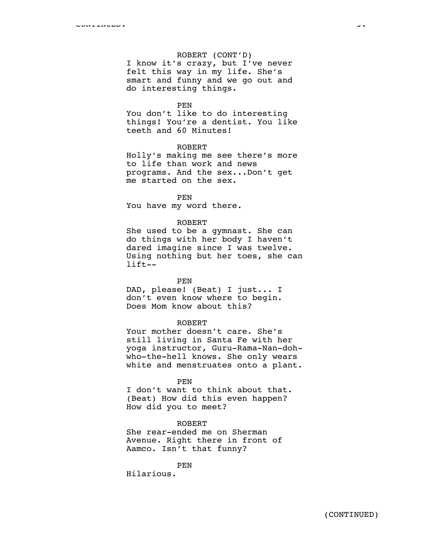## ROBERT (CONT'D)

I know it's crazy, but I've never felt this way in my life. She's smart and funny and we go out and do interesting things.

PEN

You don't like to do interesting things! You're a dentist. You like teeth and 60 Minutes!

## ROBERT

Holly's making me see there's more to life than work and news programs. And the sex...Don't get me started on the sex.

PEN

You have my word there.

### ROBERT

She used to be a gymnast. She can do things with her body I haven't dared imagine since I was twelve. Using nothing but her toes, she can lift--

## PEN

DAD, please! (Beat) I just... I don't even know where to begin. Does Mom know about this?

#### ROBERT

Your mother doesn't care. She's still living in Santa Fe with her yoga instructor, Guru-Rama-Nan-dohwho-the-hell knows. She only wears white and menstruates onto a plant.

#### PEN

I don't want to think about that. (Beat) How did this even happen? How did you to meet?

## ROBERT

She rear-ended me on Sherman Avenue. Right there in front of Aamco. Isn't that funny?

PEN

Hilarious.